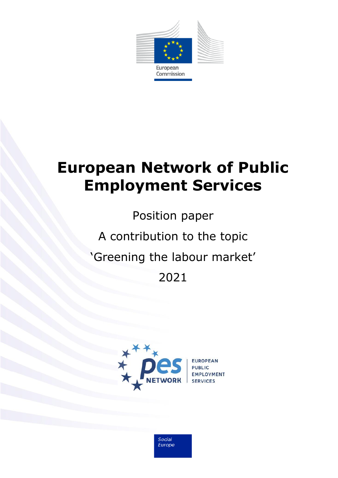

# **European Network of Public Employment Services**

Position paper A contribution to the topic 'Greening the labour market' 2021



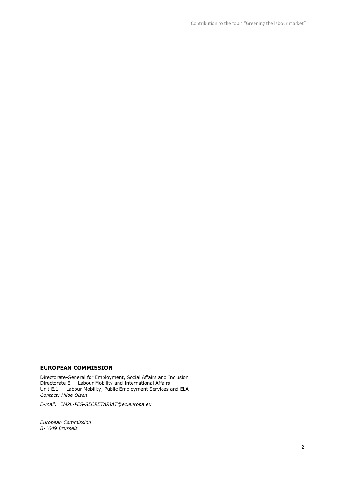Contribution to the topic "Greening the labour market"

#### **EUROPEAN COMMISSION**

Directorate-General for Employment, Social Affairs and Inclusion Directorate  $E -$  Labour Mobility and International Affairs Unit E.1 — Labour Mobility, Public Employment Services and ELA *Contact: Hilde Olsen*

*E-mail: EMPL-PES-SECRETARIAT@ec.europa.eu*

*European Commission B-1049 Brussels*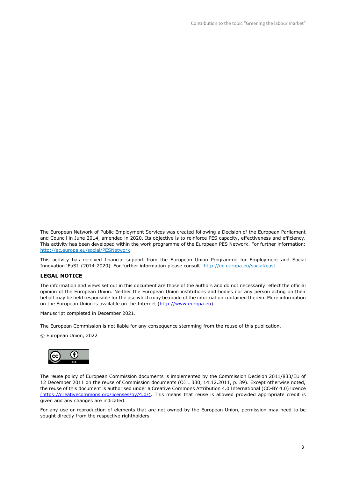The European Network of Public Employment Services was created following a Decision of the European Parliament and Council in June 2014, amended in 2020. Its objective is to reinforce PES capacity, effectiveness and efficiency. This activity has been developed within the work programme of the European PES Network. For further information: [http://ec.europa.eu/social/PESNetwork.](http://ec.europa.eu/social/PESNetwork)

This activity has received financial support from the European Union Programme for Employment and Social Innovation 'EaSI' (2014-2020). For further information please consult: [http://ec.europa.eu/social/easi.](http://ec.europa.eu/social/easi)

#### **LEGAL NOTICE**

The information and views set out in this document are those of the authors and do not necessarily reflect the official opinion of the European Union. Neither the European Union institutions and bodies nor any person acting on their behalf may be held responsible for the use which may be made of the information contained therein. More information on the European Union is available on the Internet [\(http://www.europa.eu\)](http://www.europa.eu/).

Manuscript completed in December 2021.

The European Commission is not liable for any consequence stemming from the reuse of this publication.

© European Union, 2022



The reuse policy of European Commission documents is implemented by the Commission Decision 2011/833/EU of 12 December 2011 on the reuse of Commission documents (OJ L 330, 14.12.2011, p. 39). Except otherwise noted, the reuse of this document is authorised under a Creative Commons Attribution 4.0 International (CC-BY 4.0) licence (https://creativecommons.org/licenses/by/4.0/). This means that reuse is allowed provided appropriate credit is given and any changes are indicated.

For any use or reproduction of elements that are not owned by the European Union, permission may need to be sought directly from the respective rightholders.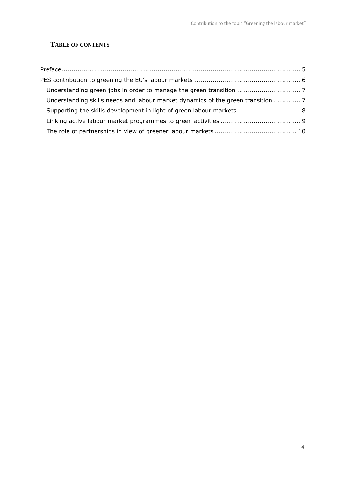# **TABLE OF CONTENTS**

| Understanding skills needs and labour market dynamics of the green transition  7 |  |
|----------------------------------------------------------------------------------|--|
| Supporting the skills development in light of green labour markets 8             |  |
|                                                                                  |  |
|                                                                                  |  |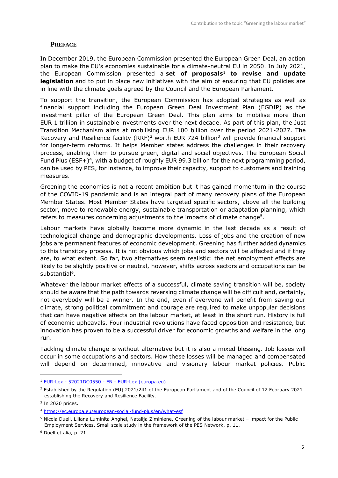## <span id="page-4-0"></span>**PREFACE**

In December 2019, the European Commission presented the European Green Deal, an action plan to make the EU's economies sustainable for a climate-neutral EU in 2050. In July 2021, the European Commission presented a **set of proposals**<sup>1</sup> **to revise and update legislation** and to put in place new initiatives with the aim of ensuring that EU policies are in line with the climate goals agreed by the Council and the European Parliament.

To support the transition, the European Commission has adopted strategies as well as financial support including the European Green Deal Investment Plan (EGDIP) as the investment pillar of the European Green Deal. This plan aims to mobilise more than EUR 1 trillion in sustainable investments over the next decade. As part of this plan, the Just Transition Mechanism aims at mobilising EUR 100 billion over the period 2021-2027. The Recovery and Resilience facility (RRF)<sup>2</sup> worth EUR 724 billion<sup>3</sup> will provide financial support for longer-term reforms. It helps Member states address the challenges in their recovery process, enabling them to pursue green, digital and social objectives. The European Social Fund Plus (ESF+)<sup>4</sup>, with a budget of roughly EUR 99.3 billion for the next programming period, can be used by PES, for instance, to improve their capacity, support to customers and training measures.

Greening the economies is not a recent ambition but it has gained momentum in the course of the COVID-19 pandemic and is an integral part of many recovery plans of the European Member States. Most Member States have targeted specific sectors, above all the building sector, move to renewable energy, sustainable transportation or adaptation planning, which refers to measures concerning adjustments to the impacts of climate change<sup>5</sup>.

Labour markets have globally become more dynamic in the last decade as a result of technological change and demographic developments. Loss of jobs and the creation of new jobs are permanent features of economic development. Greening has further added dynamics to this transitory process. It is not obvious which jobs and sectors will be affected and if they are, to what extent. So far, two alternatives seem realistic: the net employment effects are likely to be slightly positive or neutral, however, shifts across sectors and occupations can be substantial<sup>6</sup>.

Whatever the labour market effects of a successful, climate saving transition will be, society should be aware that the path towards reversing climate change will be difficult and, certainly, not everybody will be a winner. In the end, even if everyone will benefit from saving our climate, strong political commitment and courage are required to make unpopular decisions that can have negative effects on the labour market, at least in the short run. History is full of economic upheavals. Four industrial revolutions have faced opposition and resistance, but innovation has proven to be a successful driver for economic growths and welfare in the long run.

Tackling climate change is without alternative but it is also a mixed blessing. Job losses will occur in some occupations and sectors. How these losses will be managed and compensated will depend on determined, innovative and visionary labour market policies. Public

<sup>1</sup> EUR-Lex - 52021DC0550 - EN - [EUR-Lex \(europa.eu\)](https://eur-lex.europa.eu/legal-content/EN/TXT/?uri=CELEX%3A52021DC0550)

<sup>&</sup>lt;sup>2</sup> Established by the Regulation (EU) 2021/241 of the European Parliament and of the Council of 12 February 2021 establishing the Recovery and Resilience Facility.

 $3$  In 2020 prices.

<sup>4</sup> <https://ec.europa.eu/european-social-fund-plus/en/what-esf>

<sup>5</sup> Nicola Duell, Liliana Luminita Anghel, Natalija Ziminiene, Greening of the labour market – impact for the Public Employment Services, Small scale study in the framework of the PES Network, p. 11.

<sup>6</sup> Duell et alia, p. 21.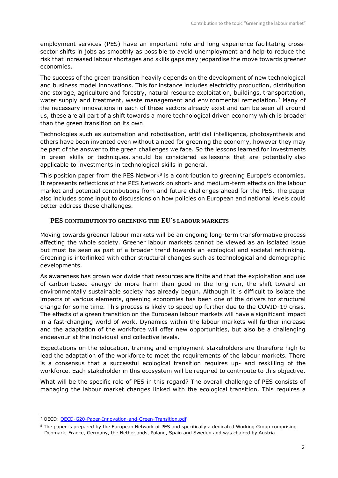employment services (PES) have an important role and long experience facilitating crosssector shifts in jobs as smoothly as possible to avoid unemployment and help to reduce the risk that increased labour shortages and skills gaps may jeopardise the move towards greener economies.

The success of the green transition heavily depends on the development of new technological and business model innovations. This for instance includes electricity production, distribution and storage, agriculture and forestry, natural resource exploitation, buildings, transportation, water supply and treatment, waste management and environmental remediation.<sup>7</sup> Many of the necessary innovations in each of these sectors already exist and can be seen all around us, these are all part of a shift towards a more technological driven economy which is broader than the green transition on its own.

Technologies such as automation and robotisation, artificial intelligence, photosynthesis and others have been invented even without a need for greening the economy, however they may be part of the answer to the green challenges we face. So the lessons learned for investments in green skills or techniques, should be considered as lessons that are potentially also applicable to investments in technological skills in general.

This position paper from the PES Network<sup>8</sup> is a contribution to greening Europe's economies. It represents reflections of the PES Network on short- and medium-term effects on the labour market and potential contributions from and future challenges ahead for the PES. The paper also includes some input to discussions on how policies on European and national levels could better address these challenges.

## <span id="page-5-0"></span>**PES CONTRIBUTION TO GREENING THE EU'S LABOUR MARKETS**

Moving towards greener labour markets will be an ongoing long-term transformative process affecting the whole society. Greener labour markets cannot be viewed as an isolated issue but must be seen as part of a broader trend towards an ecological and societal rethinking. Greening is interlinked with other structural changes such as technological and demographic developments.

As awareness has grown worldwide that resources are finite and that the exploitation and use of carbon-based energy do more harm than good in the long run, the shift toward an environmentally sustainable society has already begun. Although it is difficult to isolate the impacts of various elements, greening economies has been one of the drivers for structural change for some time. This process is likely to speed up further due to the COVID-19 crisis. The effects of a green transition on the European labour markets will have a significant impact in a fast-changing world of work. Dynamics within the labour markets will further increase and the adaptation of the workforce will offer new opportunities, but also be a challenging endeavour at the individual and collective levels.

Expectations on the education, training and employment stakeholders are therefore high to lead the adaptation of the workforce to meet the requirements of the labour markets. There is a consensus that a successful ecological transition requires up- and reskilling of the workforce. Each stakeholder in this ecosystem will be required to contribute to this objective.

What will be the specific role of PES in this regard? The overall challenge of PES consists of managing the labour market changes linked with the ecological transition. This requires a

<sup>7</sup> OECD: [OECD-G20-Paper-Innovation-and-Green-Transition.pdf](https://www.oecd.org/g20/summits/osaka/OECD-G20-Paper-Innovation-and-Green-Transition.pdf)

<sup>&</sup>lt;sup>8</sup> The paper is prepared by the European Network of PES and specifically a dedicated Working Group comprising Denmark, France, Germany, the Netherlands, Poland, Spain and Sweden and was chaired by Austria.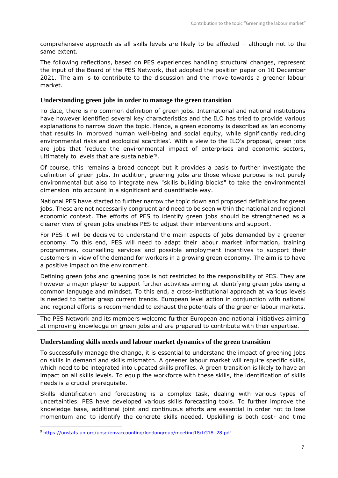comprehensive approach as all skills levels are likely to be affected – although not to the same extent.

The following reflections, based on PES experiences handling structural changes, represent the input of the Board of the PES Network, that adopted the position paper on 10 December 2021. The aim is to contribute to the discussion and the move towards a greener labour market.

## <span id="page-6-0"></span>**Understanding green jobs in order to manage the green transition**

To date, there is no common definition of green jobs. International and national institutions have however identified several key characteristics and the ILO has tried to provide various explanations to narrow down the topic. Hence, a green economy is described as 'an economy that results in improved human well-being and social equity, while significantly reducing environmental risks and ecological scarcities'. With a view to the ILO's proposal, green jobs are jobs that 'reduce the environmental impact of enterprises and economic sectors, ultimately to levels that are sustainable'<sup>9</sup> .

Of course, this remains a broad concept but it provides a basis to further investigate the definition of green jobs. In addition, greening jobs are those whose purpose is not purely environmental but also to integrate new "skills building blocks" to take the environmental dimension into account in a significant and quantifiable way.

National PES have started to further narrow the topic down and proposed definitions for green jobs. These are not necessarily congruent and need to be seen within the national and regional economic context. The efforts of PES to identify green jobs should be strengthened as a clearer view of green jobs enables PES to adjust their interventions and support.

For PES it will be decisive to understand the main aspects of jobs demanded by a greener economy. To this end, PES will need to adapt their labour market information, training programmes, counselling services and possible employment incentives to support their customers in view of the demand for workers in a growing green economy. The aim is to have a positive impact on the environment.

Defining green jobs and greening jobs is not restricted to the responsibility of PES. They are however a major player to support further activities aiming at identifying green jobs using a common language and mindset. To this end, a cross-institutional approach at various levels is needed to better grasp current trends. European level action in conjunction with national and regional efforts is recommended to exhaust the potentials of the greener labour markets.

The PES Network and its members welcome further European and national initiatives aiming at improving knowledge on green jobs and are prepared to contribute with their expertise.

# <span id="page-6-1"></span>**Understanding skills needs and labour market dynamics of the green transition**

To successfully manage the change, it is essential to understand the impact of greening jobs on skills in demand and skills mismatch. A greener labour market will require specific skills, which need to be integrated into updated skills profiles. A green transition is likely to have an impact on all skills levels. To equip the workforce with these skills, the identification of skills needs is a crucial prerequisite.

Skills identification and forecasting is a complex task, dealing with various types of uncertainties. PES have developed various skills forecasting tools. To further improve the knowledge base, additional joint and continuous efforts are essential in order not to lose momentum and to identify the concrete skills needed. Upskilling is both cost- and time

<sup>9</sup> [https://unstats.un.org/unsd/envaccounting/londongroup/meeting18/LG18\\_28.pdf](https://unstats.un.org/unsd/envaccounting/londongroup/meeting18/LG18_28.pdf)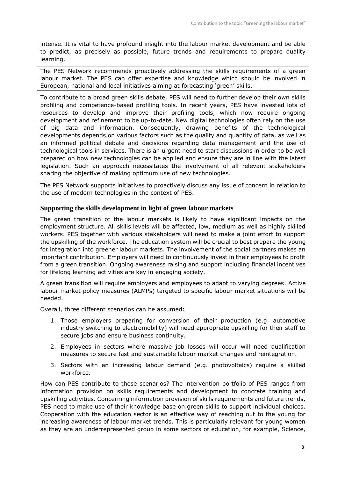intense. It is vital to have profound insight into the labour market development and be able to predict, as precisely as possible, future trends and requirements to prepare quality learning.

The PES Network recommends proactively addressing the skills requirements of a green labour market. The PES can offer expertise and knowledge which should be involved in European, national and local initiatives aiming at forecasting 'green' skills.

To contribute to a broad green skills debate, PES will need to further develop their own skills profiling and competence-based profiling tools. In recent years, PES have invested lots of resources to develop and improve their profiling tools, which now require ongoing development and refinement to be up-to-date. New digital technologies often rely on the use of big data and information. Consequently, drawing benefits of the technological developments depends on various factors such as the quality and quantity of data, as well as an informed political debate and decisions regarding data management and the use of technological tools in services. There is an urgent need to start discussions in order to be well prepared on how new technologies can be applied and ensure they are in line with the latest legislation. Such an approach necessitates the involvement of all relevant stakeholders sharing the objective of making optimum use of new technologies.

The PES Network supports initiatives to proactively discuss any issue of concern in relation to the use of modern technologies in the context of PES.

## <span id="page-7-0"></span>**Supporting the skills development in light of green labour markets**

The green transition of the labour markets is likely to have significant impacts on the employment structure. All skills levels will be affected, low, medium as well as highly skilled workers. PES together with various stakeholders will need to make a joint effort to support the upskilling of the workforce. The education system will be crucial to best prepare the young for integration into greener labour markets. The involvement of the social partners makes an important contribution. Employers will need to continuously invest in their employees to profit from a green transition. Ongoing awareness raising and support including financial incentives for lifelong learning activities are key in engaging society.

A green transition will require employers and employees to adapt to varying degrees. Active labour market policy measures (ALMPs) targeted to specific labour market situations will be needed.

Overall, three different scenarios can be assumed:

- 1. Those employers preparing for conversion of their production (e.g. automotive industry switching to electromobility) will need appropriate upskilling for their staff to secure jobs and ensure business continuity.
- 2. Employees in sectors where massive job losses will occur will need qualification measures to secure fast and sustainable labour market changes and reintegration.
- 3. Sectors with an increasing labour demand (e.g. photovoltaics) require a skilled workforce.

How can PES contribute to these scenarios? The intervention portfolio of PES ranges from information provision on skills requirements and development to concrete training and upskilling activities. Concerning information provision of skills requirements and future trends, PES need to make use of their knowledge base on green skills to support individual choices. Cooperation with the education sector is an effective way of reaching out to the young for increasing awareness of labour market trends. This is particularly relevant for young women as they are an underrepresented group in some sectors of education, for example, Science,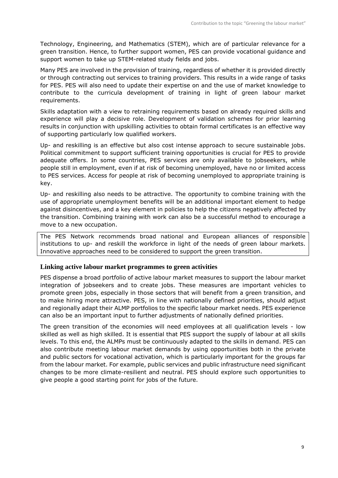Technology, Engineering, and Mathematics (STEM), which are of particular relevance for a green transition. Hence, to further support women, PES can provide vocational guidance and support women to take up STEM-related study fields and jobs.

Many PES are involved in the provision of training, regardless of whether it is provided directly or through contracting out services to training providers. This results in a wide range of tasks for PES. PES will also need to update their expertise on and the use of market knowledge to contribute to the curricula development of training in light of green labour market requirements.

Skills adaptation with a view to retraining requirements based on already required skills and experience will play a decisive role. Development of validation schemes for prior learning results in conjunction with upskilling activities to obtain formal certificates is an effective way of supporting particularly low qualified workers.

Up- and reskilling is an effective but also cost intense approach to secure sustainable jobs. Political commitment to support sufficient training opportunities is crucial for PES to provide adequate offers. In some countries, PES services are only available to jobseekers, while people still in employment, even if at risk of becoming unemployed, have no or limited access to PES services. Access for people at risk of becoming unemployed to appropriate training is key.

Up- and reskilling also needs to be attractive. The opportunity to combine training with the use of appropriate unemployment benefits will be an additional important element to hedge against disincentives, and a key element in policies to help the citizens negatively affected by the transition. Combining training with work can also be a successful method to encourage a move to a new occupation.

The PES Network recommends broad national and European alliances of responsible institutions to up- and reskill the workforce in light of the needs of green labour markets. Innovative approaches need to be considered to support the green transition.

#### <span id="page-8-0"></span>**Linking active labour market programmes to green activities**

PES dispense a broad portfolio of active labour market measures to support the labour market integration of jobseekers and to create jobs. These measures are important vehicles to promote green jobs, especially in those sectors that will benefit from a green transition, and to make hiring more attractive. PES, in line with nationally defined priorities, should adjust and regionally adapt their ALMP portfolios to the specific labour market needs. PES experience can also be an important input to further adjustments of nationally defined priorities.

The green transition of the economies will need employees at all qualification levels - low skilled as well as high skilled. It is essential that PES support the supply of labour at all skills levels. To this end, the ALMPs must be continuously adapted to the skills in demand. PES can also contribute meeting labour market demands by using opportunities both in the private and public sectors for vocational activation, which is particularly important for the groups far from the labour market. For example, public services and public infrastructure need significant changes to be more climate-resilient and neutral. PES should explore such opportunities to give people a good starting point for jobs of the future.